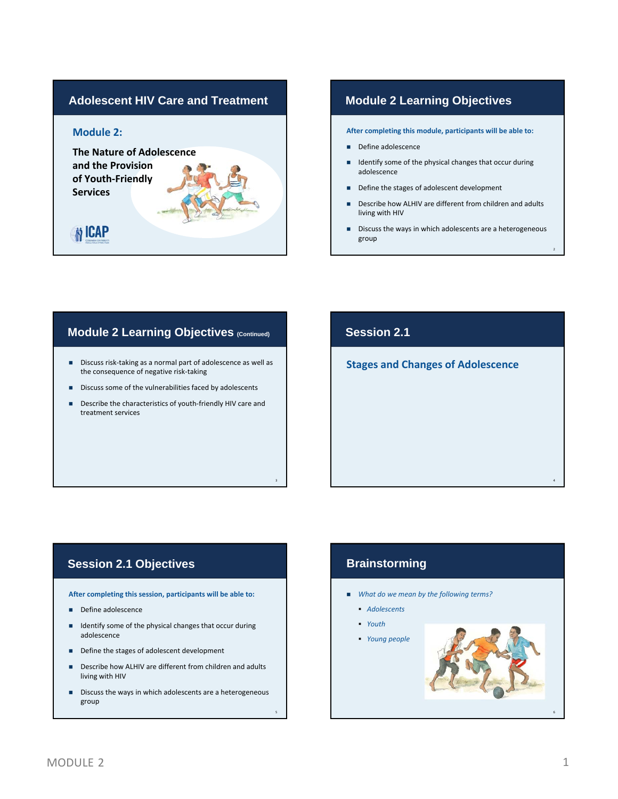# **Module 2: The Nature of Adolescence and the Provision of Youth‐Friendly Services N** ICAP

### **Adolescent HIV Care and Treatment Module 2 Learning Objectives**

**After completing this module, participants will be able to:**

- Define adolescence
- Identify some of the physical changes that occur during adolescence
- Define the stages of adolescent development
- Describe how ALHIV are different from children and adults living with HIV
- Discuss the ways in which adolescents are a heterogeneous group

2

4

### **Module 2 Learning Objectives (Continued)**

- Discuss risk-taking as a normal part of adolescence as well as the consequence of negative risk‐taking
- Discuss some of the vulnerabilities faced by adolescents
- Describe the characteristics of youth-friendly HIV care and treatment services

3

5

### **Session 2.1**

**Stages and Changes of Adolescence**

#### **Session 2.1 Objectives**

**After completing this session, participants will be able to:**

- Define adolescence
- I Identify some of the physical changes that occur during adolescence
- Define the stages of adolescent development
- Describe how ALHIV are different from children and adults living with HIV
- Discuss the ways in which adolescents are a heterogeneous group

## **Brainstorming**

- *What do we mean by the following terms?*
	- *Adolescents*
	- *Youth*
	- *Young people*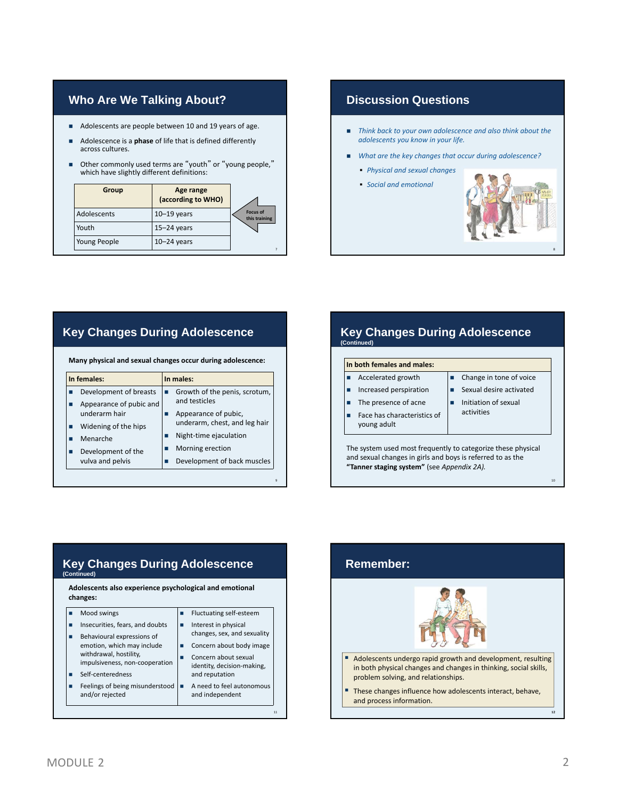### **Who Are We Talking About?**

- Adolescents are people between 10 and 19 years of age.
- Adolescence is a **phase** of life that is defined differently across cultures.
- Other commonly used terms are "youth" or "young people," which have slightly different definitions:

| Group        | Age range<br>(according to WHO) |                                  |
|--------------|---------------------------------|----------------------------------|
| Adolescents  | $10-19$ years                   | <b>Focus of</b><br>this training |
| Youth        | $15 - 24$ years                 |                                  |
| Young People | $10 - 24$ years                 |                                  |

### **Discussion Questions**

- *Think back to your own adolescence and also think about the adolescents you know in your life.*
- *What are the key changes that occur during adolescence?*
	- *Physical and sexual changes*
	- *Social and emotional changes*



## **Key Changes During Adolescence**

**Many physical and sexual changes occur during adolescence:**

| In females:                                       | In males:                                             |  |  |
|---------------------------------------------------|-------------------------------------------------------|--|--|
| Development of breasts<br>Appearance of pubic and | Growth of the penis, scrotum,<br>and testicles        |  |  |
| underarm hair<br>Widening of the hips             | Appearance of pubic,<br>underarm, chest, and leg hair |  |  |
| Menarche                                          | Night-time ejaculation                                |  |  |
| Development of the                                | Morning erection                                      |  |  |
| vulva and pelvis                                  | Development of back muscles                           |  |  |

9

### **In both females and males: Key Changes During Adolescence (Continued)**

- Accelerated growth
- **Increased perspiration** ■ The presence of acne
	- Sexual desire activated
		- **Initiation of sexual**

Change in tone of voice

- Face has characteristics of young adult
- activities

The system used most frequently to categorize these physical and sexual changes in girls and boys is referred to as the **"Tanner staging system"** (see *Appendix 2A).*

#### **Key Changes During Adolescence**  (Led

**Adolescents also experience psychological and emotional changes:**

| Mood swings                                                                            | Fluctuating self-esteem                             |  |
|----------------------------------------------------------------------------------------|-----------------------------------------------------|--|
| Insecurities, fears, and doubts<br>Behavioural expressions of                          | Interest in physical<br>changes, sex, and sexuality |  |
| emotion, which may include<br>withdrawal, hostility,<br>impulsiveness, non-cooperation | Concern about body image<br>Concern about sexual    |  |
| Self-centeredness                                                                      | identity, decision-making,<br>and reputation        |  |
| Feelings of being misunderstood<br>and/or rejected                                     | A need to feel autonomous<br>and independent        |  |
|                                                                                        |                                                     |  |

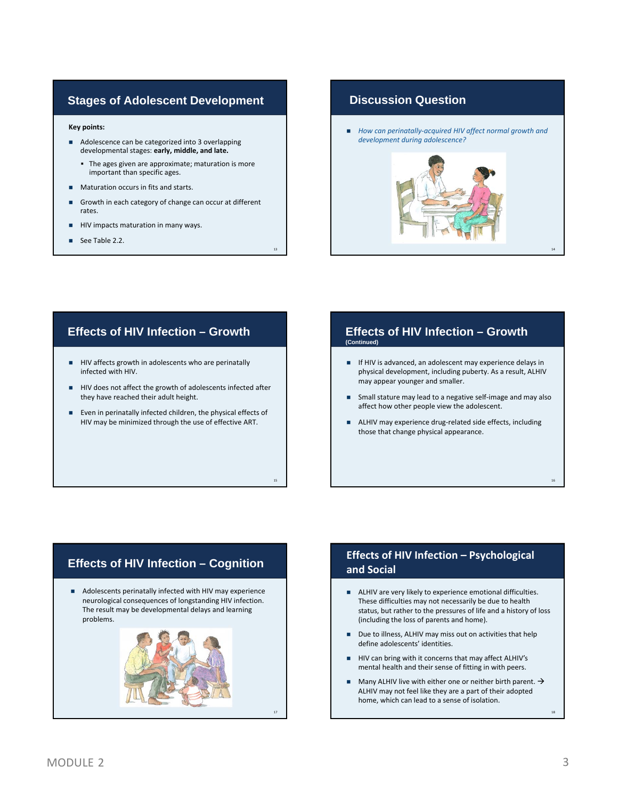#### **Stages of Adolescent Development**

#### **Key points:**

- Adolescence can be categorized into 3 overlapping developmental stages: **early, middle, and late.**
	- The ages given are approximate; maturation is more important than specific ages.
- **Maturation occurs in fits and starts.**
- Growth in each category of change can occur at different rates.

13

15

- **HIV** impacts maturation in many ways.
- See Table 2.2.

### **Discussion Question**

 *How can perinatally‐acquired HIV affect normal growth and development during adolescence?*



#### **Effects of HIV Infection – Growth**

- HIV affects growth in adolescents who are perinatally infected with HIV.
- HIV does not affect the growth of adolescents infected after they have reached their adult height.
- Even in perinatally infected children, the physical effects of HIV may be minimized through the use of effective ART.

#### **Effects of HIV Infection – Growth (Continued)**

- **IF HIV** is advanced, an adolescent may experience delays in physical development, including puberty. As a result, ALHIV may appear younger and smaller.
- Small stature may lead to a negative self‐image and may also affect how other people view the adolescent.
- ALHIV may experience drug-related side effects, including those that change physical appearance.

# **Effects of HIV Infection – Cognition**

 Adolescents perinatally infected with HIV may experience neurological consequences of longstanding HIV infection. The result may be developmental delays and learning problems.



#### **Effects of HIV Infection – Psychological and Social**

- ALHIV are very likely to experience emotional difficulties. These difficulties may not necessarily be due to health status, but rather to the pressures of life and a history of loss (including the loss of parents and home).
- Due to illness, ALHIV may miss out on activities that help define adolescents' identities.
- HIV can bring with it concerns that may affect ALHIV's mental health and their sense of fitting in with peers.
- Many ALHIV live with either one or neither birth parent.  $\rightarrow$ ALHIV may not feel like they are a part of their adopted home, which can lead to a sense of isolation.

18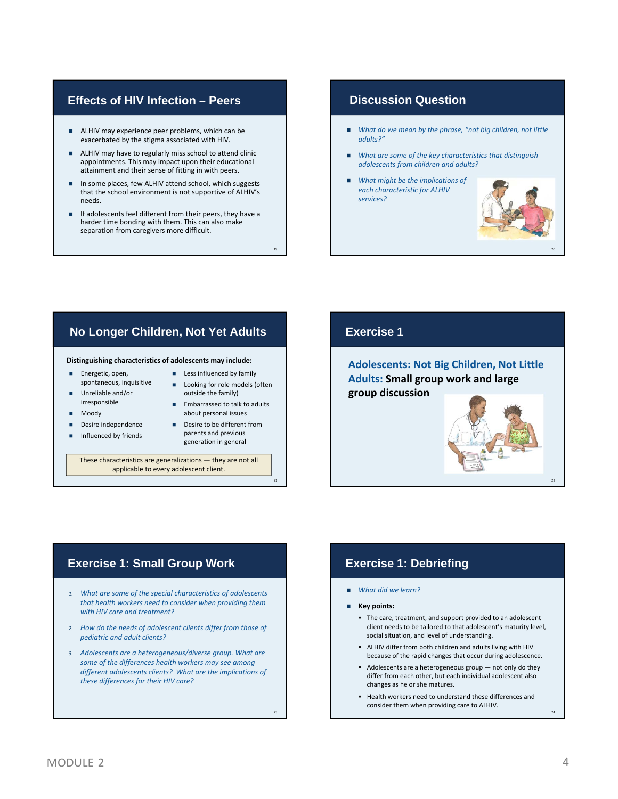#### **Effects of HIV Infection – Peers**

- ALHIV may experience peer problems, which can be exacerbated by the stigma associated with HIV.
- **ALHIV** may have to regularly miss school to attend clinic appointments. This may impact upon their educational attainment and their sense of fitting in with peers.
- In some places, few ALHIV attend school, which suggests that the school environment is not supportive of ALHIV's needs.
- If adolescents feel different from their peers, they have a harder time bonding with them. This can also make separation from caregivers more difficult.

#### **Discussion Question**

- *What do we mean by the phrase, "not big children, not little adults?"*
- *What are some of the key characteristics that distinguish adolescents from children and adults?*
- *What might be the implications of each characteristic for ALHIV services?*



### **No Longer Children, Not Yet Adults**

#### **Distinguishing characteristics of adolescents may include:**

- **Energetic, open.** spontaneous, inquisitive
- Unreliable and/or irresponsible
- Moody
- Desire independence
- Influenced by friends
- Embarrassed to talk to adults about personal issues ■ Desire to be different from

19

21

23

parents and previous generation in general

**Less influenced by family Looking for role models (often** outside the family)

These characteristics are generalizations — they are not all applicable to every adolescent client.

*1. What are some of the special characteristics of adolescents that health workers need to consider when providing them*

*2. How do the needs of adolescent clients differ from those of*

*3. Adolescents are a heterogeneous/diverse group. What are some of the differences health workers may see among different adolescents clients? What are the implications of*

*with HIV care and treatment?*

*pediatric and adult clients?*

*these differences for their HIV care?*

### **Exercise 1**

**Adolescents: Not Big Children, Not Little Adults: Small group work and large group discussion**

#### **Exercise 1: Small Group Work Exercise 1: Debriefing**

- *What did we learn?*
- **Key points:**
	- The care, treatment, and support provided to an adolescent client needs to be tailored to that adolescent's maturity level, social situation, and level of understanding.
	- ALHIV differ from both children and adults living with HIV because of the rapid changes that occur during adolescence.
	- Adolescents are a heterogeneous group not only do they differ from each other, but each individual adolescent also changes as he or she matures.
	- Health workers need to understand these differences and consider them when providing care to ALHIV.

#### MODULE 2 and 2 and 2 and 2 and 2 and 2 and 2 and 2 and 2 and 2 and 2 and 2 and 2 and 2 and 2 and 2 and 2 and 2 and 2 and 2 and 2 and 2 and 2 and 2 and 2 and 2 and 2 and 2 and 2 and 2 and 2 and 2 and 2 and 2 and 2 and 2 and

24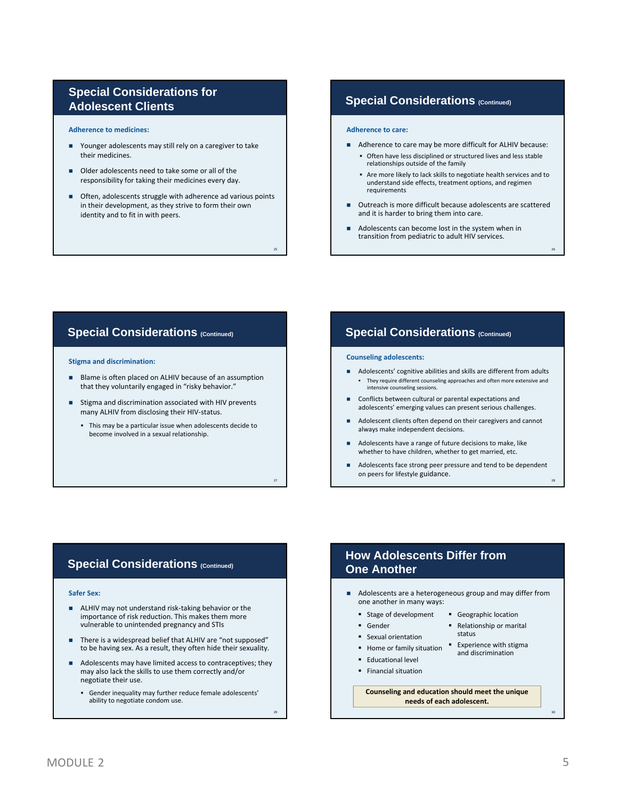### **Special Considerations for Adolescent Clients**

**Adherence to medicines:**

- Younger adolescents may still rely on a caregiver to take their medicines.
- Older adolescents need to take some or all of the responsibility for taking their medicines every day.
- Often, adolescents struggle with adherence ad various points in their development, as they strive to form their own identity and to fit in with peers.

25

27

29

#### **Special Considerations (Continued)**

#### **Adherence to care:**

- Adherence to care may be more difficult for ALHIV because:
	- Often have less disciplined or structured lives and less stable relationships outside of the family
	- Are more likely to lack skills to negotiate health services and to understand side effects, treatment options, and regimen requirements

26

28

- Outreach is more difficult because adolescents are scattered and it is harder to bring them into care.
- Adolescents can become lost in the system when in transition from pediatric to adult HIV services.

#### **Special Considerations (Continued)**

#### **Stigma and discrimination:**

- Blame is often placed on ALHIV because of an assumption that they voluntarily engaged in "risky behavior."
- Stigma and discrimination associated with HIV prevents many ALHIV from disclosing their HIV‐status.
	- This may be a particular issue when adolescents decide to become involved in a sexual relationship.

#### **Special Considerations (Continued)**

#### **Counseling adolescents:**

- Adolescents' cognitive abilities and skills are different from adults They require different counseling approaches and often more extensive and intensive counseling sessions.
- Conflicts between cultural or parental expectations and adolescents' emerging values can present serious challenges.
- Adolescent clients often depend on their caregivers and cannot always make independent decisions.
- Adolescents have a range of future decisions to make, like whether to have children, whether to get married, etc.
- Adolescents face strong peer pressure and tend to be dependent on peers for lifestyle guidance.

#### **Special Considerations (Continued)**

#### **Safer Sex:**

- ALHIV may not understand risk-taking behavior or the importance of risk reduction. This makes them more vulnerable to unintended pregnancy and STIs
- There is a widespread belief that ALHIV are "not supposed" to be having sex. As a result, they often hide their sexuality.
- Adolescents may have limited access to contraceptives; they may also lack the skills to use them correctly and/or negotiate their use.
	- Gender inequality may further reduce female adolescents' ability to negotiate condom use.

**How Adolescents Differ from One Another**

- Adolescents are a heterogeneous group and may differ from one another in many ways:
	- **Stage of development** 
		- **Geographic location** Relationship or marital

status

and discrimination

Sexual orientation

Gender

- Home or family situation  $\overline{ }$  Experience with stigma
- Educational level
- **Financial situation**

**Counseling and education should meet the unique needs of each adolescent.**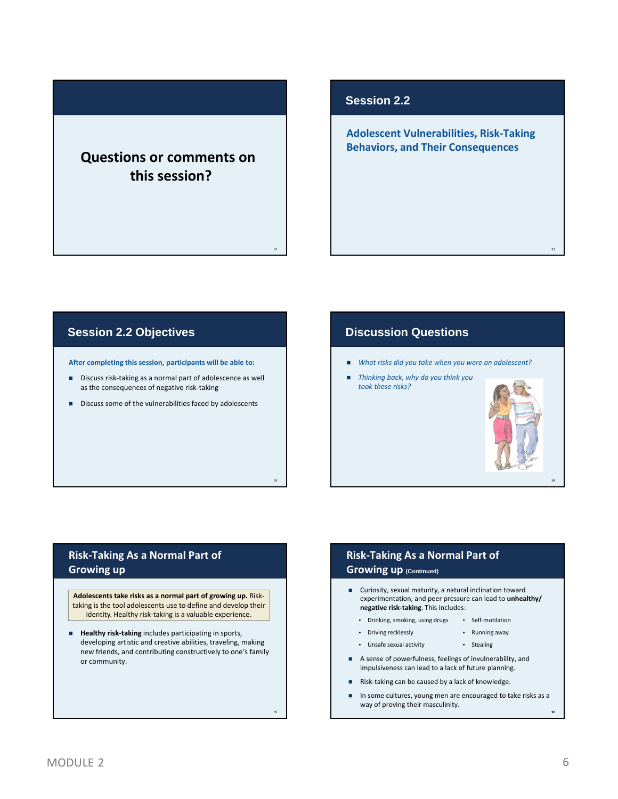## **Questions or comments on this session?**

31

33

35

#### **Session 2.2**

**Adolescent Vulnerabilities, Risk‐Taking Behaviors, and Their Consequences**

### **Session 2.2 Objectives**

**After completing this session, participants will be able to:**

- Discuss risk-taking as a normal part of adolescence as well as the consequences of negative risk‐taking
- Discuss some of the vulnerabilities faced by adolescents

#### **Discussion Questions**

- *What risks did you take when you were an adolescent?*
- *Thinking back, why do you think you took these risks?*



32

34

#### **Risk‐Taking As a Normal Part of Growing up**

**Adolescents take risks as a normal part of growing up.** Risk‐ taking is the tool adolescents use to define and develop their identity. Healthy risk-taking is a valuable experience.

 **Healthy risk‐taking** includes participating in sports, developing artistic and creative abilities, traveling, making new friends, and contributing constructively to one's family or community.

#### **Risk‐Taking As a Normal Part of Growing up (Continued)**

- Curiosity, sexual maturity, a natural inclination toward experimentation, and peer pressure can lead to **unhealthy/ negative risk‐taking**. This includes:
	- Drinking, smoking, using drugs Self‐mutilation
	- Driving recklessly
	- Unsafe sexual activity • Stealing
- A sense of powerfulness, feelings of invulnerability, and impulsiveness can lead to a lack of future planning.
- Risk‐taking can be caused by a lack of knowledge.
- In some cultures, young men are encouraged to take risks as a way of proving their masculinity.

• Running away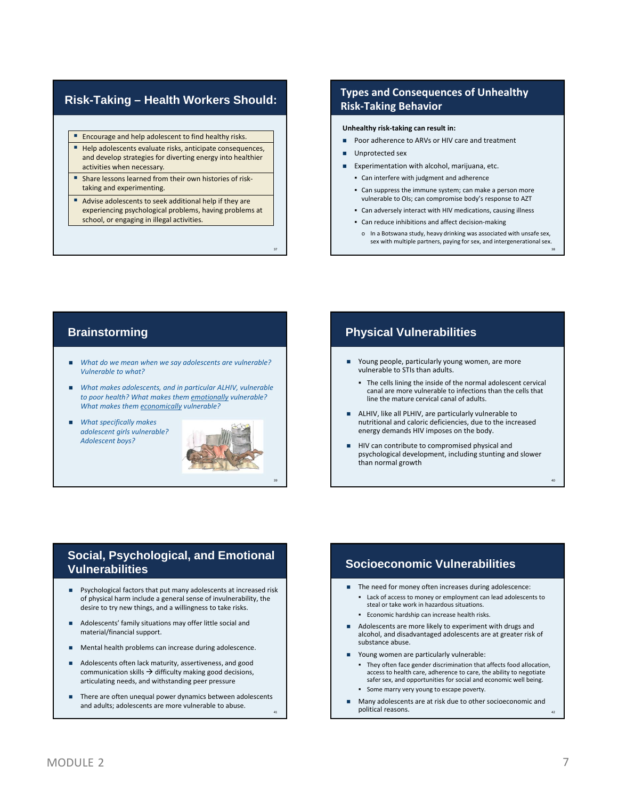#### **Risk-Taking – Health Workers Should:**

- **Encourage and help adolescent to find healthy risks.**
- Help adolescents evaluate risks, anticipate consequences, and develop strategies for diverting energy into healthier activities when necessary.
- Share lessons learned from their own histories of risktaking and experimenting.
- Advise adolescents to seek additional help if they are experiencing psychological problems, having problems at school, or engaging in illegal activities.

#### **Types and Consequences of Unhealthy Risk‐Taking Behavior**

#### **Unhealthy risk‐taking can result in:**

- Poor adherence to ARVs or HIV care and treatment
- Unprotected sex
- Experimentation with alcohol, marijuana, etc.
- Can interfere with judgment and adherence
- Can suppress the immune system; can make a person more vulnerable to OIs; can compromise body's response to AZT
- Can adversely interact with HIV medications, causing illness
- Can reduce inhibitions and affect decision-making
- o In a Botswana study, heavy drinking was associated with unsafe sex, sex with multiple partners, paying for sex, and intergenerational sex.

38

40

- *What do we mean when we say adolescents are vulnerable? Vulnerable to what?*
- *What makes adolescents, and in particular ALHIV, vulnerable to poor health? What makes them emotionally vulnerable? What makes them economically vulnerable?*
- *What specifically makes adolescent girls vulnerable? Adolescent boys?*



37

39

41

#### **Brainstorming Physical Vulnerabilities**

- Young people, particularly young women, are more vulnerable to STIs than adults.
	- The cells lining the inside of the normal adolescent cervical canal are more vulnerable to infections than the cells that line the mature cervical canal of adults.
- ALHIV, like all PLHIV, are particularly vulnerable to nutritional and caloric deficiencies, due to the increased energy demands HIV imposes on the body.
- HIV can contribute to compromised physical and psychological development, including stunting and slower than normal growth

#### **Social, Psychological, and Emotional Vulnerabilities**

- Psychological factors that put many adolescents at increased risk of physical harm include a general sense of invulnerability, the desire to try new things, and a willingness to take risks.
- Adolescents' family situations may offer little social and material/financial support.
- Mental health problems can increase during adolescence.
- Adolescents often lack maturity, assertiveness, and good communication skills  $\rightarrow$  difficulty making good decisions, articulating needs, and withstanding peer pressure
- There are often unequal power dynamics between adolescents and adults; adolescents are more vulnerable to abuse.

### **Socioeconomic Vulnerabilities**

- The need for money often increases during adolescence: Lack of access to money or employment can lead adolescents to steal or take work in hazardous situations.
	- Economic hardship can increase health risks.
- Adolescents are more likely to experiment with drugs and alcohol, and disadvantaged adolescents are at greater risk of substance abuse.
- Young women are particularly vulnerable:
	- They often face gender discrimination that affects food allocation, access to health care, adherence to care, the ability to negotiate safer sex, and opportunities for social and economic well being.
	- **Some marry very young to escape poverty.**
- Many adolescents are at risk due to other socioeconomic and political reasons. <sup>42</sup>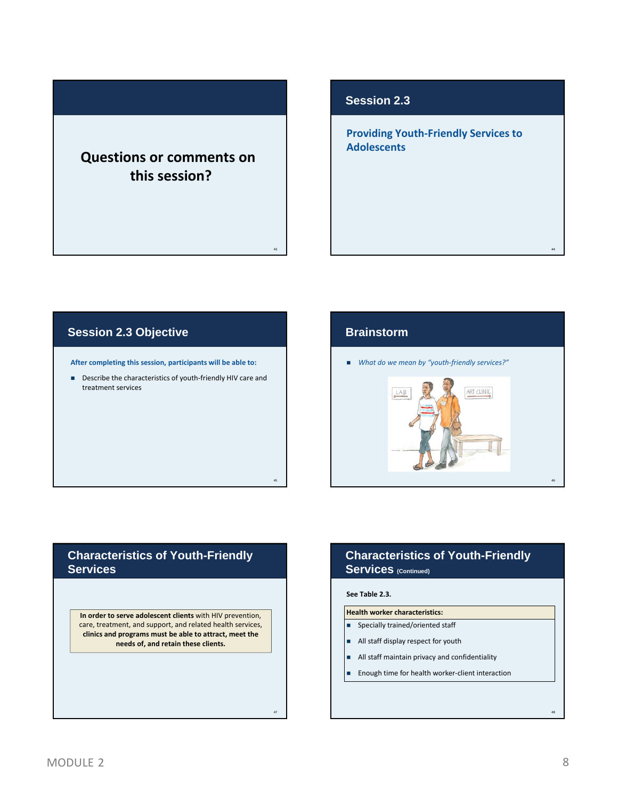## **Questions or comments on this session?**

#### **Session 2.3**

**Providing Youth‐Friendly Services to Adolescents**

### **Session 2.3 Objective**

**After completing this session, participants will be able to:**

■ Describe the characteristics of youth-friendly HIV care and treatment services

#### **Brainstorm**

43

45

47

*What do we mean by "youth‐friendly services?"*



#### **Characteristics of Youth-Friendly Services**

**In order to serve adolescent clients** with HIV prevention, care, treatment, and support, and related health services, **clinics and programs must be able to attract, meet the needs of, and retain these clients.**

### **Characteristics of Youth-Friendly**  Services (Continued)

#### **See Table 2.3.**

#### **Health worker characteristics:**

- **Specially trained/oriented staff**
- All staff display respect for youth
- All staff maintain privacy and confidentiality
- Enough time for health worker-client interaction

48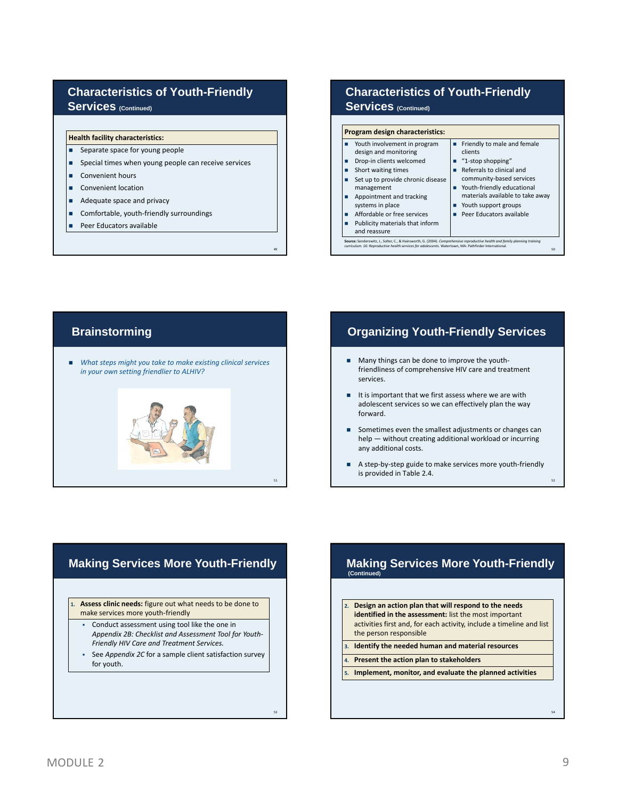#### **Characteristics of Youth-Friendly**  Services (Continued)

#### **Health facility characteristics:**

- **Separate space for young people**
- **Special times when young people can receive services**
- Convenient hours
- Convenient location
- Adequate space and privacy
- Comfortable, youth-friendly surroundings
- **Peer Educators available**

### **Characteristics of Youth-Friendly**

#### **Services** (Continued)

| Program design characteristics:                                                                                                                                                                                                                                                                              |                                                                                                                                                                                                                                                                     |  |  |  |
|--------------------------------------------------------------------------------------------------------------------------------------------------------------------------------------------------------------------------------------------------------------------------------------------------------------|---------------------------------------------------------------------------------------------------------------------------------------------------------------------------------------------------------------------------------------------------------------------|--|--|--|
| Youth involvement in program<br>п<br>design and monitoring<br>Drop-in clients welcomed<br>п<br>Short waiting times<br>Set up to provide chronic disease<br>management<br>Appointment and tracking<br>systems in place<br>Affordable or free services<br>□<br>Publicity materials that inform<br>and reassure | Friendly to male and female<br>п<br>clients<br>$\blacksquare$ "1-stop shopping"<br>Referrals to clinical and<br>community-based services<br>Youth-friendly educational<br>materials available to take away<br>Youth support groups<br>ш<br>Peer Educators available |  |  |  |

50

52

#### **Brainstorming**

 *What steps might you take to make existing clinical services in your own setting friendlier to ALHIV?*

49

51

53

## **Organizing Youth-Friendly Services**

- Many things can be done to improve the youth‐ friendliness of comprehensive HIV care and treatment services.
- $\blacksquare$  It is important that we first assess where we are with adolescent services so we can effectively plan the way forward.
- Sometimes even the smallest adjustments or changes can help — without creating additional workload or incurring any additional costs.
- A step-by-step guide to make services more youth-friendly is provided in Table 2.4.

#### **Making Services More Youth-Friendly**

**1. Assess clinic needs:** figure out what needs to be done to make services more youth‐friendly

- Conduct assessment using tool like the one in *Appendix 2B: Checklist and Assessment Tool for Youth‐ Friendly HIV Care and Treatment Services.*
- See *Appendix 2C* for a sample client satisfaction survey for youth.

#### **Making Services More Youth-Friendly (Continued)**

**2. Design an action plan that will respond to the needs identified in the assessment:** list the most important activities first and, for each activity, include a timeline and list the person responsible **3. Identify the needed human and material resources 4. Present the action plan to stakeholders 5. Implement, monitor, and evaluate the planned activities**